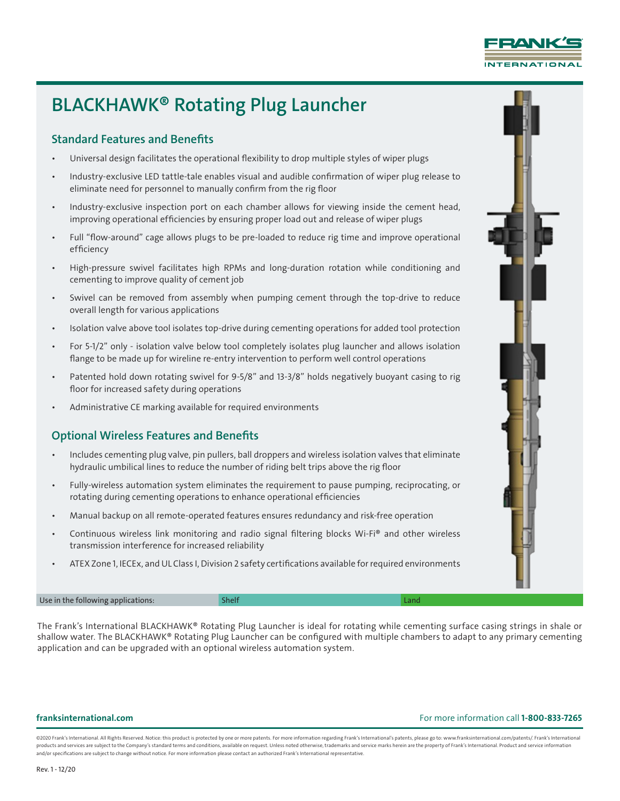

# BLACKHAWK® Rotating Plug Launcher

## Standard Features and Benefits

- Universal design facilitates the operational flexibility to drop multiple styles of wiper plugs
- Industry-exclusive LED tattle-tale enables visual and audible confirmation of wiper plug release to eliminate need for personnel to manually confirm from the rig floor
- Industry-exclusive inspection port on each chamber allows for viewing inside the cement head, improving operational efficiencies by ensuring proper load out and release of wiper plugs
- Full "flow-around" cage allows plugs to be pre-loaded to reduce rig time and improve operational efficiency
- High-pressure swivel facilitates high RPMs and long-duration rotation while conditioning and cementing to improve quality of cement job
- Swivel can be removed from assembly when pumping cement through the top-drive to reduce overall length for various applications
- Isolation valve above tool isolates top-drive during cementing operations for added tool protection
- For 5-1/2" only isolation valve below tool completely isolates plug launcher and allows isolation flange to be made up for wireline re-entry intervention to perform well control operations
- Patented hold down rotating swivel for 9-5/8" and 13-3/8" holds negatively buoyant casing to rig floor for increased safety during operations
- Administrative CE marking available for required environments

## Optional Wireless Features and Benefits

- Includes cementing plug valve, pin pullers, ball droppers and wireless isolation valves that eliminate hydraulic umbilical lines to reduce the number of riding belt trips above the rig floor
- Fully-wireless automation system eliminates the requirement to pause pumping, reciprocating, or rotating during cementing operations to enhance operational efficiencies
- Manual backup on all remote-operated features ensures redundancy and risk-free operation
- Continuous wireless link monitoring and radio signal filtering blocks Wi-Fi® and other wireless transmission interference for increased reliability
- ATEX Zone 1, IECEx, and UL Class I, Division 2 safety certifications available for required environments

Use in the following applications: Shelf Land

The Frank's International BLACKHAWK® Rotating Plug Launcher is ideal for rotating while cementing surface casing strings in shale or shallow water. The BLACKHAWK® Rotating Plug Launcher can be configured with multiple chambers to adapt to any primary cementing application and can be upgraded with an optional wireless automation system.

### franksinternational.com For more information call 1-800-833-7265

@2020 Frank's International. All Rights Reserved. Notice: this product is protected by one or more patents. For more information regarding Frank's International's patents, please go to: www.franksinternational.com/patents/ products and services are subject to the Company's standard terms and conditions, available on request. Unless noted otherwise, trademarks and service marks herein are the property of Frank's International. Product and ser and/or specifications are subject to change without notice. For more information please contact an authorized Frank's International representative.